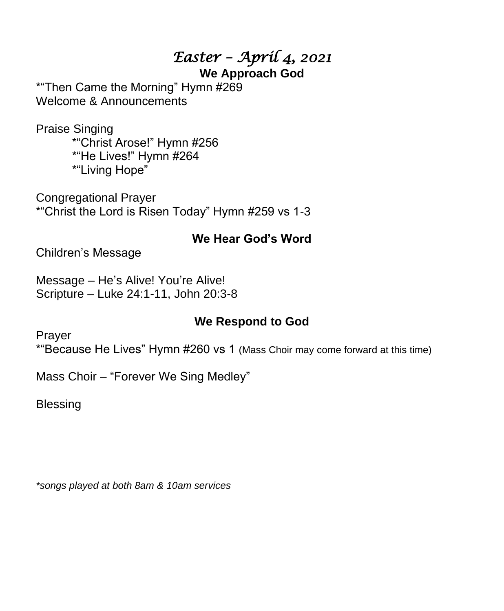## *Easter – April 4, 2021*

### **We Approach God**

\*"Then Came the Morning" Hymn #269 Welcome & Announcements

Praise Singing \*"Christ Arose!" Hymn #256 \*"He Lives!" Hymn #264 \*"Living Hope"

Congregational Prayer \*"Christ the Lord is Risen Today" Hymn #259 vs 1-3

### **We Hear God's Word**

Children's Message

Message – He's Alive! You're Alive! Scripture – Luke 24:1-11, John 20:3-8

### **We Respond to God**

Prayer

\*"Because He Lives" Hymn #260 vs 1 (Mass Choir may come forward at this time)

Mass Choir – "Forever We Sing Medley"

**Blessing** 

*\*songs played at both 8am & 10am services*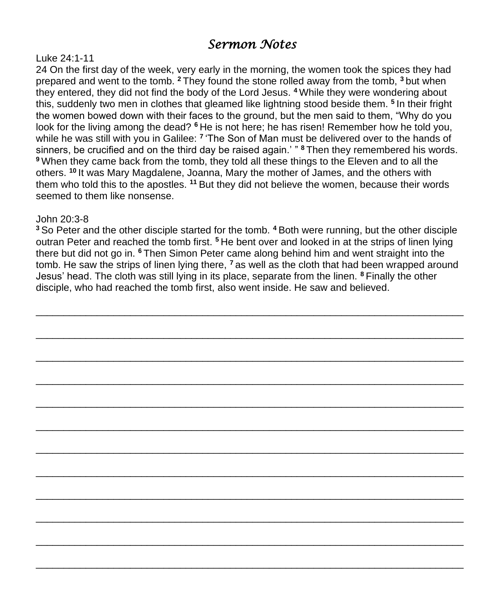### *Sermon Notes*

#### Luke 24:1-11

24 On the first day of the week, very early in the morning, the women took the spices they had prepared and went to the tomb. **<sup>2</sup>** They found the stone rolled away from the tomb, **<sup>3</sup>** but when they entered, they did not find the body of the Lord Jesus. **<sup>4</sup>** While they were wondering about this, suddenly two men in clothes that gleamed like lightning stood beside them. **<sup>5</sup>** In their fright the women bowed down with their faces to the ground, but the men said to them, "Why do you look for the living among the dead? **<sup>6</sup>** He is not here; he has risen! Remember how he told you, while he was still with you in Galilee: **<sup>7</sup>** 'The Son of Man must be delivered over to the hands of sinners, be crucified and on the third day be raised again.' " **<sup>8</sup>** Then they remembered his words. **<sup>9</sup>** When they came back from the tomb, they told all these things to the Eleven and to all the others. **<sup>10</sup>** It was Mary Magdalene, Joanna, Mary the mother of James, and the others with them who told this to the apostles. **<sup>11</sup>** But they did not believe the women, because their words seemed to them like nonsense.

#### John 20:3-8

**<sup>3</sup>** So Peter and the other disciple started for the tomb. **<sup>4</sup>** Both were running, but the other disciple outran Peter and reached the tomb first. **<sup>5</sup>** He bent over and looked in at the strips of linen lying there but did not go in. **<sup>6</sup>** Then Simon Peter came along behind him and went straight into the tomb. He saw the strips of linen lying there, **<sup>7</sup>** as well as the cloth that had been wrapped around Jesus' head. The cloth was still lying in its place, separate from the linen. **<sup>8</sup>** Finally the other disciple, who had reached the tomb first, also went inside. He saw and believed.

\_\_\_\_\_\_\_\_\_\_\_\_\_\_\_\_\_\_\_\_\_\_\_\_\_\_\_\_\_\_\_\_\_\_\_\_\_\_\_\_\_\_\_\_\_\_\_\_\_\_\_\_\_\_\_\_\_\_\_\_\_\_\_\_\_\_\_\_\_\_\_\_\_\_\_\_\_

\_\_\_\_\_\_\_\_\_\_\_\_\_\_\_\_\_\_\_\_\_\_\_\_\_\_\_\_\_\_\_\_\_\_\_\_\_\_\_\_\_\_\_\_\_\_\_\_\_\_\_\_\_\_\_\_\_\_\_\_\_\_\_\_\_\_\_\_\_\_\_\_\_\_\_\_\_

\_\_\_\_\_\_\_\_\_\_\_\_\_\_\_\_\_\_\_\_\_\_\_\_\_\_\_\_\_\_\_\_\_\_\_\_\_\_\_\_\_\_\_\_\_\_\_\_\_\_\_\_\_\_\_\_\_\_\_\_\_\_\_\_\_\_\_\_\_\_\_\_\_\_\_\_\_

\_\_\_\_\_\_\_\_\_\_\_\_\_\_\_\_\_\_\_\_\_\_\_\_\_\_\_\_\_\_\_\_\_\_\_\_\_\_\_\_\_\_\_\_\_\_\_\_\_\_\_\_\_\_\_\_\_\_\_\_\_\_\_\_\_\_\_\_\_\_\_\_\_\_\_\_\_

\_\_\_\_\_\_\_\_\_\_\_\_\_\_\_\_\_\_\_\_\_\_\_\_\_\_\_\_\_\_\_\_\_\_\_\_\_\_\_\_\_\_\_\_\_\_\_\_\_\_\_\_\_\_\_\_\_\_\_\_\_\_\_\_\_\_\_\_\_\_\_\_\_\_\_\_\_

\_\_\_\_\_\_\_\_\_\_\_\_\_\_\_\_\_\_\_\_\_\_\_\_\_\_\_\_\_\_\_\_\_\_\_\_\_\_\_\_\_\_\_\_\_\_\_\_\_\_\_\_\_\_\_\_\_\_\_\_\_\_\_\_\_\_\_\_\_\_\_\_\_\_\_\_\_

\_\_\_\_\_\_\_\_\_\_\_\_\_\_\_\_\_\_\_\_\_\_\_\_\_\_\_\_\_\_\_\_\_\_\_\_\_\_\_\_\_\_\_\_\_\_\_\_\_\_\_\_\_\_\_\_\_\_\_\_\_\_\_\_\_\_\_\_\_\_\_\_\_\_\_\_\_

\_\_\_\_\_\_\_\_\_\_\_\_\_\_\_\_\_\_\_\_\_\_\_\_\_\_\_\_\_\_\_\_\_\_\_\_\_\_\_\_\_\_\_\_\_\_\_\_\_\_\_\_\_\_\_\_\_\_\_\_\_\_\_\_\_\_\_\_\_\_\_\_\_\_\_\_\_

\_\_\_\_\_\_\_\_\_\_\_\_\_\_\_\_\_\_\_\_\_\_\_\_\_\_\_\_\_\_\_\_\_\_\_\_\_\_\_\_\_\_\_\_\_\_\_\_\_\_\_\_\_\_\_\_\_\_\_\_\_\_\_\_\_\_\_\_\_\_\_\_\_\_\_\_\_

\_\_\_\_\_\_\_\_\_\_\_\_\_\_\_\_\_\_\_\_\_\_\_\_\_\_\_\_\_\_\_\_\_\_\_\_\_\_\_\_\_\_\_\_\_\_\_\_\_\_\_\_\_\_\_\_\_\_\_\_\_\_\_\_\_\_\_\_\_\_\_\_\_\_\_\_\_

\_\_\_\_\_\_\_\_\_\_\_\_\_\_\_\_\_\_\_\_\_\_\_\_\_\_\_\_\_\_\_\_\_\_\_\_\_\_\_\_\_\_\_\_\_\_\_\_\_\_\_\_\_\_\_\_\_\_\_\_\_\_\_\_\_\_\_\_\_\_\_\_\_\_\_\_\_

\_\_\_\_\_\_\_\_\_\_\_\_\_\_\_\_\_\_\_\_\_\_\_\_\_\_\_\_\_\_\_\_\_\_\_\_\_\_\_\_\_\_\_\_\_\_\_\_\_\_\_\_\_\_\_\_\_\_\_\_\_\_\_\_\_\_\_\_\_\_\_\_\_\_\_\_\_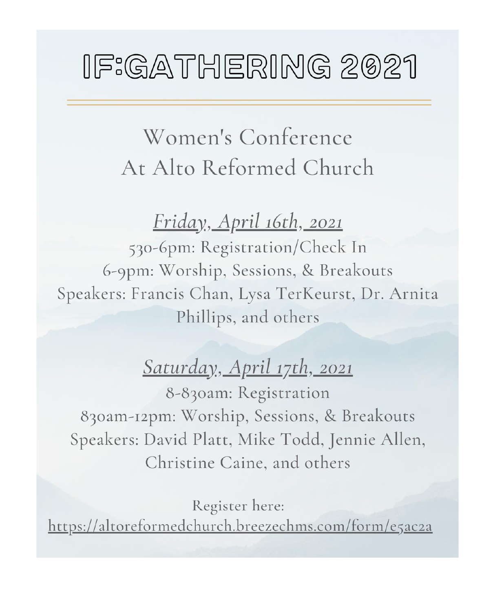# IF:GATHERING 2021

# Women's Conference At Alto Reformed Church

## <u> Friday, April 16th, 2021</u>

530-6pm: Registration/Check In 6-9pm: Worship, Sessions, & Breakouts Speakers: Francis Chan, Lysa TerKeurst, Dr. Arnita Phillips, and others

## <u>Saturday, April 17th, 2021</u>

8-830am: Registration 830am-12pm: Worship, Sessions, & Breakouts Speakers: David Platt, Mike Todd, Jennie Allen, Christine Caine, and others

Register here: <u> https://altoreformedchurch.breezechms.com/form/e5ac2a</u>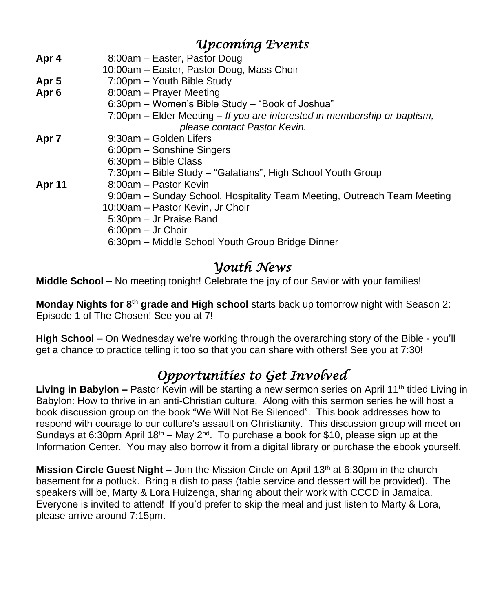| <b>Upcoming Events</b> |  |
|------------------------|--|
|------------------------|--|

| Apr 4            | 8:00am – Easter, Pastor Doug                                             |
|------------------|--------------------------------------------------------------------------|
|                  | 10:00am - Easter, Pastor Doug, Mass Choir                                |
| Apr <sub>5</sub> | 7:00pm - Youth Bible Study                                               |
| Apr <sub>6</sub> | 8:00am - Prayer Meeting                                                  |
|                  | 6:30pm – Women's Bible Study – "Book of Joshua"                          |
|                  | 7:00pm – Elder Meeting – If you are interested in membership or baptism, |
|                  | please contact Pastor Kevin.                                             |
| Apr <sub>7</sub> | 9:30am – Golden Lifers                                                   |
|                  | 6:00pm - Sonshine Singers                                                |
|                  | 6:30pm - Bible Class                                                     |
|                  | 7:30pm - Bible Study - "Galatians", High School Youth Group              |
| <b>Apr 11</b>    | 8:00am - Pastor Kevin                                                    |
|                  | 9:00am - Sunday School, Hospitality Team Meeting, Outreach Team Meeting  |
|                  | 10:00am - Pastor Kevin, Jr Choir                                         |
|                  | 5:30pm - Jr Praise Band                                                  |
|                  | 6:00pm - Jr Choir                                                        |
|                  | 6:30pm - Middle School Youth Group Bridge Dinner                         |
|                  |                                                                          |

### *Youth News*

**Middle School** – No meeting tonight! Celebrate the joy of our Savior with your families!

**Monday Nights for 8th grade and High school** starts back up tomorrow night with Season 2: Episode 1 of The Chosen! See you at 7!

**High School** – On Wednesday we're working through the overarching story of the Bible - you'll get a chance to practice telling it too so that you can share with others! See you at 7:30!

### *Opportunities to Get Involved*

Living in Babylon - Pastor Kevin will be starting a new sermon series on April 11<sup>th</sup> titled Living in Babylon: How to thrive in an anti-Christian culture. Along with this sermon series he will host a book discussion group on the book "We Will Not Be Silenced". This book addresses how to respond with courage to our culture's assault on Christianity. This discussion group will meet on Sundays at 6:30pm April 18<sup>th</sup> – May 2<sup>nd</sup>. To purchase a book for \$10, please sign up at the Information Center. You may also borrow it from a digital library or purchase the ebook yourself.

**Mission Circle Guest Night –** Join the Mission Circle on April 13<sup>th</sup> at 6:30pm in the church basement for a potluck. Bring a dish to pass (table service and dessert will be provided). The speakers will be, Marty & Lora Huizenga, sharing about their work with CCCD in Jamaica. Everyone is invited to attend! If you'd prefer to skip the meal and just listen to Marty & Lora, please arrive around 7:15pm.